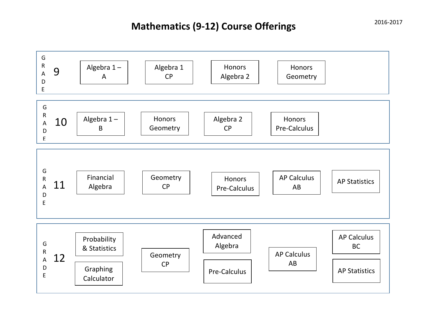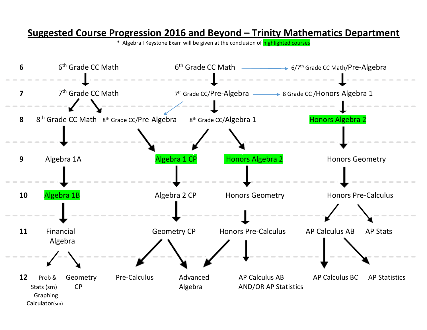